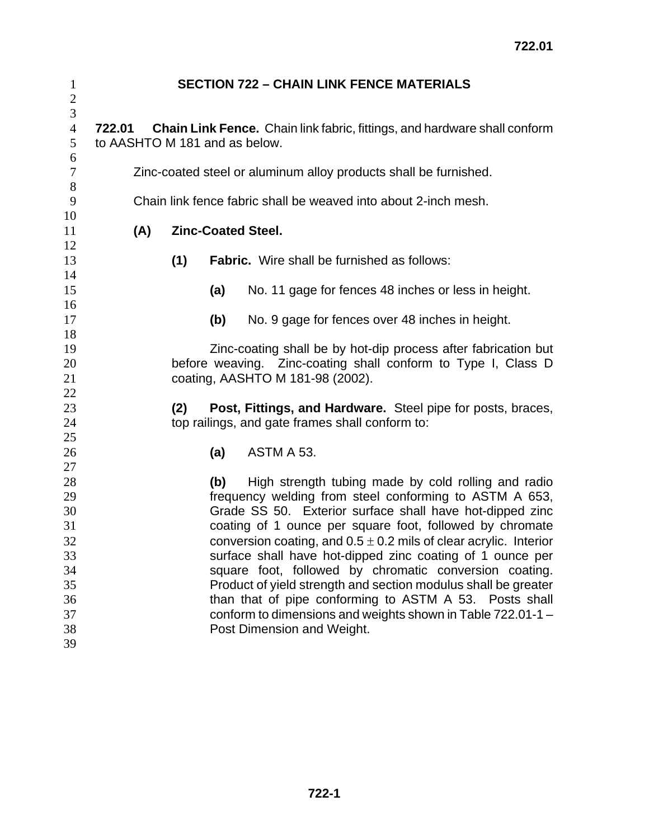| $\mathbf{1}$<br>$\overline{c}$             |                                                                                                                                   |     | <b>SECTION 722 - CHAIN LINK FENCE MATERIALS</b>                                                                |  |  |  |
|--------------------------------------------|-----------------------------------------------------------------------------------------------------------------------------------|-----|----------------------------------------------------------------------------------------------------------------|--|--|--|
| $\mathfrak{Z}$<br>$\overline{4}$<br>5<br>6 | Chain Link Fence. Chain link fabric, fittings, and hardware shall conform<br>722.01<br>to AASHTO M 181 and as below.              |     |                                                                                                                |  |  |  |
| $\tau$                                     | Zinc-coated steel or aluminum alloy products shall be furnished.                                                                  |     |                                                                                                                |  |  |  |
| 8<br>9                                     | Chain link fence fabric shall be weaved into about 2-inch mesh.                                                                   |     |                                                                                                                |  |  |  |
| 10<br>11                                   | (A)<br><b>Zinc-Coated Steel.</b>                                                                                                  |     |                                                                                                                |  |  |  |
| 12<br>13                                   |                                                                                                                                   | (1) | <b>Fabric.</b> Wire shall be furnished as follows:                                                             |  |  |  |
| 14<br>15                                   |                                                                                                                                   | (a) | No. 11 gage for fences 48 inches or less in height.                                                            |  |  |  |
| 16<br>17                                   |                                                                                                                                   | (b) | No. 9 gage for fences over 48 inches in height.                                                                |  |  |  |
| 18<br>19<br>20                             | Zinc-coating shall be by hot-dip process after fabrication but<br>before weaving. Zinc-coating shall conform to Type I, Class D   |     |                                                                                                                |  |  |  |
| 21<br>22                                   |                                                                                                                                   |     | coating, AASHTO M 181-98 (2002).                                                                               |  |  |  |
| 23<br>24<br>25                             |                                                                                                                                   | (2) | Post, Fittings, and Hardware. Steel pipe for posts, braces,<br>top railings, and gate frames shall conform to: |  |  |  |
| 26<br>27                                   |                                                                                                                                   | (a) | ASTM A 53.                                                                                                     |  |  |  |
| 28                                         |                                                                                                                                   | (b) | High strength tubing made by cold rolling and radio                                                            |  |  |  |
| 29<br>30                                   | frequency welding from steel conforming to ASTM A 653,<br>Grade SS 50. Exterior surface shall have hot-dipped zinc                |     |                                                                                                                |  |  |  |
| 31<br>32                                   | coating of 1 ounce per square foot, followed by chromate<br>conversion coating, and $0.5 \pm 0.2$ mils of clear acrylic. Interior |     |                                                                                                                |  |  |  |
| 33                                         | surface shall have hot-dipped zinc coating of 1 ounce per                                                                         |     |                                                                                                                |  |  |  |
| 34<br>35                                   | square foot, followed by chromatic conversion coating.<br>Product of yield strength and section modulus shall be greater          |     |                                                                                                                |  |  |  |
| 36                                         |                                                                                                                                   |     | than that of pipe conforming to ASTM A 53. Posts shall                                                         |  |  |  |
| 37<br>38                                   |                                                                                                                                   |     | conform to dimensions and weights shown in Table 722.01-1 -<br>Post Dimension and Weight.                      |  |  |  |
| 39                                         |                                                                                                                                   |     |                                                                                                                |  |  |  |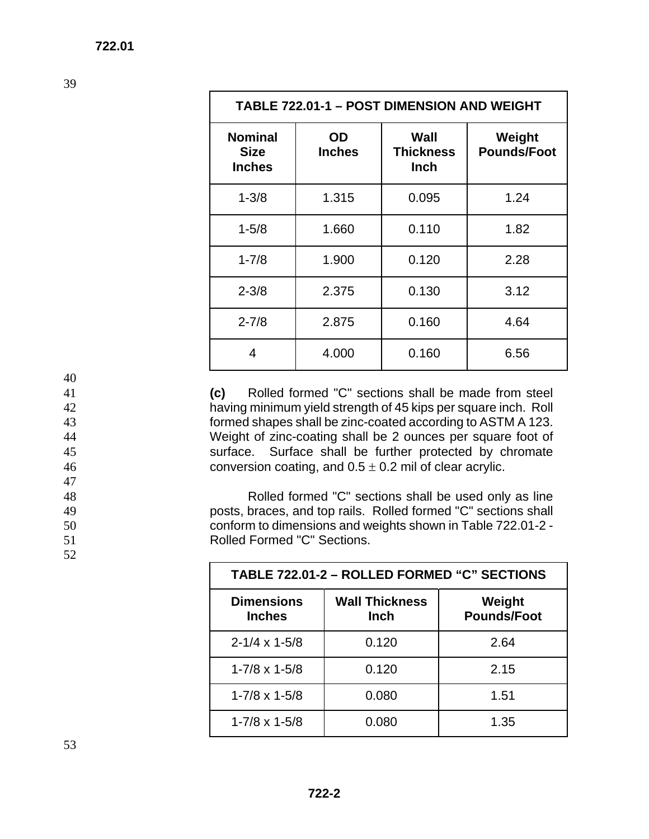| TABLE 722.01-1 - POST DIMENSION AND WEIGHT     |                     |                                         |                              |  |  |  |
|------------------------------------------------|---------------------|-----------------------------------------|------------------------------|--|--|--|
| <b>Nominal</b><br><b>Size</b><br><b>Inches</b> | OD<br><b>Inches</b> | Wall<br><b>Thickness</b><br><b>Inch</b> | Weight<br><b>Pounds/Foot</b> |  |  |  |
| $1 - 3/8$                                      | 1.315               | 0.095                                   | 1.24                         |  |  |  |
| $1 - 5/8$                                      | 1.660               | 0.110                                   | 1.82                         |  |  |  |
| $1 - 7/8$                                      | 1.900               | 0.120                                   | 2.28                         |  |  |  |
| $2 - 3/8$                                      | 2.375               | 0.130                                   | 3.12                         |  |  |  |
| $2 - 7/8$                                      | 2.875               | 0.160                                   | 4.64                         |  |  |  |
| 4                                              | 4.000               | 0.160                                   | 6.56                         |  |  |  |

**(c)** Rolled formed "C" sections shall be made from steel having minimum yield strength of 45 kips per square inch. Roll formed shapes shall be zinc-coated according to ASTM A 123. Weight of zinc-coating shall be 2 ounces per square foot of surface. Surface shall be further protected by chromate 46 conversion coating, and  $0.5 \pm 0.2$  mil of clear acrylic.

Rolled formed "C" sections shall be used only as line posts, braces, and top rails. Rolled formed "C" sections shall conform to dimensions and weights shown in Table 722.01-2 - Rolled Formed "C" Sections.

| TABLE 722.01-2 - ROLLED FORMED "C" SECTIONS |                                      |                              |  |  |  |
|---------------------------------------------|--------------------------------------|------------------------------|--|--|--|
| <b>Dimensions</b><br><b>Inches</b>          | <b>Wall Thickness</b><br><b>Inch</b> | Weight<br><b>Pounds/Foot</b> |  |  |  |
| $2 - 1/4 \times 1 - 5/8$                    | 0.120                                | 2.64                         |  |  |  |
| $1 - 7/8 \times 1 - 5/8$                    | 0.120                                | 2.15                         |  |  |  |
| $1 - 7/8 \times 1 - 5/8$                    | 0.080                                | 1.51                         |  |  |  |
| $1 - 7/8 \times 1 - 5/8$                    | 0.080                                | 1.35                         |  |  |  |

39

40

47

52

53